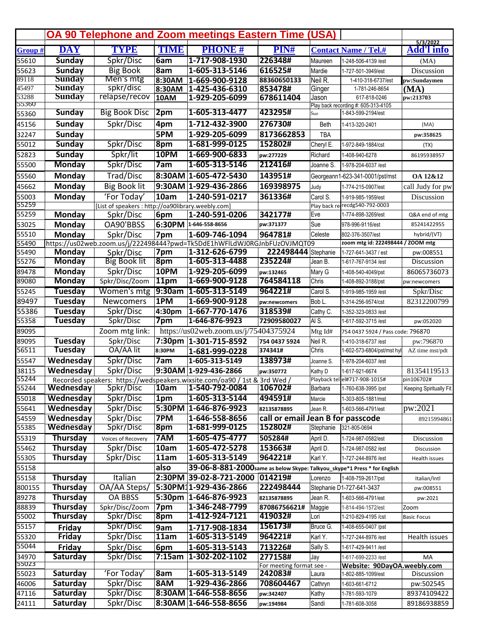|         |                 |                                                    |             | <b>OA 90 Telephone and Zoom meetings Eastern Time (USA)</b>               |                                   |             |                                     |                               |
|---------|-----------------|----------------------------------------------------|-------------|---------------------------------------------------------------------------|-----------------------------------|-------------|-------------------------------------|-------------------------------|
| Group # | <b>DAY</b>      | <b>TYPE</b>                                        | <b>TIME</b> | <b>PHONE#</b>                                                             | PIN#                              |             | <b>Contact Name / Tel.#</b>         | 5/3/2022<br><b>Add'l info</b> |
| 55610   | <b>Sunday</b>   | Spkr/Disc                                          | 6am         | 1-717-908-1930                                                            | 226348#                           | Maureen     | 1-248-506-4139 /est                 | (MA)                          |
| 55623   | <b>Sunday</b>   | <b>Big Book</b>                                    | 8am         | 1-605-313-5146                                                            | 616525#                           | Mardie      | 1-727-501-3949/est                  | Discussion                    |
| 89118   | <b>Sunday</b>   | Men's mtg                                          | 8:30AM      | 1-669-900-9128                                                            | 88360650133                       | Neil R.     | 1-410-318-6737/est                  | pw:Sundaymen                  |
| 45497   | <b>Sunday</b>   | spkr/disc                                          | 8:30AM      | 1-425-436-6310                                                            | 853478#                           | Ginger      | 1-781-246-8654                      | (MA)                          |
| 53288   | <b>Sunday</b>   | relapse/recov                                      | 10AM        | 1-929-205-6099                                                            | 678611404                         | Jason       | 617-818-0246                        | pw:213703                     |
| 55360   |                 |                                                    |             | 1-605-313-4477                                                            |                                   |             | Play back recording #: 605-313-4105 |                               |
| 55360   | <b>Sunday</b>   | <b>Big Book Disc</b>                               | 2pm         |                                                                           | 423295#                           | Sue         | 1-843-599-2194/est                  |                               |
| 45156   | Sunday          | Spkr/Disc                                          | 4pm         | 1-712-432-3900                                                            | 276730#                           | <b>Beth</b> | 1-413-320-2401                      | (MA)                          |
| 32247   | Sunday          |                                                    | 5PM         | 1-929-205-6099                                                            | 8173662853                        | <b>TBA</b>  |                                     | pw:358625                     |
| 55012   | <b>Sunday</b>   | Spkr/Disc                                          | 8pm         | 1-681-999-0125                                                            | 152802#                           | Cheryl E.   | 1-972-849-1884/cst                  | (TX)                          |
| 52823   | <b>Sunday</b>   | Spkr/lit                                           | 10PM        | 1-669-900-6833                                                            | pw:277229                         | Richard     | 1-408-940-6278                      | 86195938957                   |
| 55500   | <b>Monday</b>   | Spkr/Disc                                          | 7am         | 1-605-313-5146                                                            | 212416#                           | Joanne S.   | 1-978-204-6037 /est                 |                               |
| 55560   | Monday          | Trad/Disc                                          |             | 8:30AM 1-605-472-5430                                                     | 143951#                           |             | Georgeann1-623-341-0001/pst/mst     | OA 12&12                      |
| 45662   | Monday          | <b>Big Book lit</b>                                |             | 9:30AM 1-929-436-2866                                                     | 169398975                         | Judy        | 1-774-215-0907/est                  | call Judy for pw              |
| 55003   | Monday          | 'For Today'                                        | 10am        | 1-240-591-0217                                                            | 361336#                           | Carol S.    | 1-919-985-1959/est                  | Discussion                    |
| 55259   |                 | [List of speakers : http://oa90library.weebly.com] |             |                                                                           |                                   |             | Play back re-recdg540-792-0003      |                               |
| 55259   | Monday          | Spkr/Disc                                          | 6pm         | 1-240-591-0206                                                            | 342177#                           | Eve         | 1-774-898-3269/est                  | Q&A end of mtg                |
| 53025   | Monday          | OA90'BBSS                                          |             | 6:30PM 1-646-558-8656                                                     | pw:371377                         | Sue         | 978-996-9116/est                    | 85241422955                   |
| 55510   | Monday          | Spkr/Disc                                          | 7pm         | 1-609-746-1094                                                            | 964781#                           | Celeste     | 802-376-3507/est                    | hybrid/(VT)                   |
| 55490   |                 |                                                    |             | https://us02web.zoom.us/j/222498444?pwd=Tk5DdE1hWFlLdWJ0RGJnbFUzOVJMQT09  |                                   |             | zoom mtg id: 222498444 / ZOOM mtg   |                               |
| 55490   | Monday          | Spkr/Disc                                          | 7pm         | 1-312-626-6799                                                            | 222498444                         | Stephanie   | 1-727-641-3437 / est                | pw:008551                     |
| 55276   | <b>Monday</b>   | <b>Big Book lit</b>                                | $ 8$ pm     | 1-605-313-4488                                                            | 235224#                           | Jean B.     | 1-617-767-9134 /est                 | Discussion                    |
| 89478   | Monday          | Spkr/Disc                                          | 10PM        | 1-929-205-6099                                                            | pw:132465                         | Mary G      | 1-408-540-4049/pst                  | 86065736073                   |
| 89080   | <b>Monday</b>   | Spkr/Disc/Zoom                                     | 11pm        | 1-669-900-9128                                                            | 764584118                         | Chris       | 1-408-892-3188/pst                  | pw:newcomers                  |
| 55245   | <b>Tuesday</b>  | Women's mtg                                        | $ 9:30$ am  | $1-605-313-5149$                                                          | 964221#                           | Carol S.    | 1-919-985-1959 /est                 | Spkr/Disc                     |
| 89497   | <b>Tuesday</b>  | <b>Newcomers</b>                                   | 1PM         | 1-669-900-9128                                                            | pw:newcomers                      | Bob L.      | 1-314-256-9574/cst                  | 82312200799                   |
| 55386   | Tuesday         | Spkr/Disc                                          | 4:30pm      | 1-667-770-1476                                                            | 318539#                           | Cathy C.    | 1-352-323-0833 /est                 |                               |
| 55358   | <b>Tuesday</b>  | Spkr/Disc                                          | 7pm         | 1-646-876-9923                                                            | 72909580027                       | IAI S.      | 1-617-592-3715 /est                 | pw:052020                     |
| 89095   |                 | Zoom mtg link:                                     |             | https://us02web.zoom.us/j/75404375924                                     |                                   | Mtg Id#     | 754 0437 5924 / Pass code: 796870   |                               |
| 89095   | Tuesday         | Spkr/Disc                                          |             | 7:30pm 1-301-715-8592                                                     | 754 0437 5924                     | Neil R.     | 1-410-318-6737 /est                 | pw:796870                     |
| 56511   | <b>Tuesday</b>  | OA/AA lit                                          | 8:30PM      | 1-681-999-0228                                                            | 374341#                           | Chris       | 1-602-573-6804/pst/mst hyl          | AZ time mst/pdt               |
| 55547   | Wednesday       | Spkr/Disc                                          | 7am         | 1-605-313-5149                                                            | 138973#                           | Joanne S.   | 1-978-204-6037 /est                 |                               |
| 38115   | Wednesday       | Spkr/Disc                                          |             | 9:30AM 1-929-436-2866                                                     |                                   |             | 1-617-921-6674                      | 81354119513                   |
| 55244   |                 |                                                    |             | Recorded speakers: https://wedspeakers.wixsite.com/oa90 / 1st & 3rd Wed / | pw:350772                         | Kathy D     | Playback tel el#717-908-1015#       | pin106702#                    |
| 55244   | Wednesday       | Spkr/Disc                                          | 10am        | 1-540-792-0084                                                            | 106702#                           | Barbara     | 1-760-638-3995 /pst                 | Keeping Spiritually Fit       |
| 55018   | Wednesday       | Spkr/Disc                                          | 1pm         | 1-605-313-5144                                                            | 494591#                           | Marcie      | 1-303-805-1881/mst                  |                               |
| 55641   | Wednesday       | Spkr/Disc                                          |             | 5:30PM 1-646-876-9923                                                     | 82135878895                       | Jean R.     | 1-603-566-4791/est                  | pw:2021                       |
| 54559   | Wednesday       | Spkr/Disc                                          | 7PM         | 1-646-558-8656                                                            | call or email Jean B for passcode |             |                                     |                               |
| 55385   | Wednesday       | Spkr/Disc                                          | 8pm         | 1-681-999-0125                                                            | 152802#                           | Stephanie   | 321-805-0694                        | 89215994861                   |
|         | Thursday        |                                                    | 7AM         | 1-605-475-4777                                                            |                                   |             |                                     |                               |
| 55319   |                 | Voices of Recovery                                 |             |                                                                           | 505284#                           | April D.    | 1-724-987-0582/est                  | Discussion                    |
| 55462   | Thursday        | Spkr/Disc                                          | 10am        | 1-605-472-5278                                                            | 153663#                           | April D.    | 1-724-987-0582 /est                 | Discussion                    |
| 55305   | Thursday        | Spkr/Disc                                          | 11am        | 1-605-313-5149                                                            | 964221#                           | Karl Y.     | 1-727-244-8976 /est                 | Health issues                 |
| 55158   |                 |                                                    | also        | 39-06-8-881-2000 same as below Skype: Talkyou_skype*1 Press * for English |                                   |             |                                     |                               |
| 55158   | <b>Thursday</b> | Italian                                            |             | 2:30PM 39-02-8-721-2000                                                   | 014219#                           | Lorenzo     | 1-408-759-2617/pst                  | Italian/Intl                  |
| 800155  | Thursday        | OA/AA Steps/                                       |             | 5:30PM11-929-436-2866                                                     | 222498444                         |             | Stephanie D1-727-641-3437           | pw:008551                     |
| 89278   | Thursday        | <b>OA BBSS</b>                                     |             | 5:30pm 1-646-876-9923                                                     | 82135878895                       | Jean R.     | 1-603-566-4791/est                  | pw:2021                       |
| 88839   | Thursday        | Spkr/Disc/Zoom                                     | 7pm         | 1-346-248-7799                                                            | 87086756621#                      | Maggie      | 1-814-494-1572/est                  | Zoom                          |
| 55002   | <b>Thursday</b> | Spkr/Disc                                          | 8pm         | 1-412-924-7121                                                            | 419032#                           | Lori        | 1-210-829-4195 /cst                 | <b>Basic Focus</b>            |
| 55157   | Friday          | Spkr/Disc                                          | 9am         | 1-717-908-1834                                                            | 156173#                           | Bruce G.    | 1-408-655-0407 /pst                 |                               |
| 55320   | Friday          | Spkr/Disc                                          | 11am        | 1-605-313-5149                                                            | 964221#                           | Karl Y.     | 1-727-244-8976 /est                 | Health issues                 |
| 55044   | Friday          | Spkr/Disc                                          | 6pm         | 1-605-313-5143                                                            | 713226#                           | Sally S.    | 1-617-429-9411 /est                 |                               |
| 34970   | Saturday        | Spkr/Disc                                          | 7:15am      | $1-302-202-1102$                                                          | 277158#                           | Jay         | 1-617-699-2233 /est                 | МA                            |
| 55023   |                 |                                                    |             |                                                                           | For meeting format see -          |             | Website: 90DayOA.weebly.com         |                               |
| 55023   | Saturday        | 'For Today'                                        | <b>8am</b>  | 1-605-313-5149                                                            | 242083#                           | Laura       | 1-802-885-1099/est                  | Discussion                    |
| 46006   | <b>Saturday</b> | Spkr/Disc                                          | 8AM         | 1-929-436-2866                                                            | 708604467                         | Cathryn     | 1-603-661-6712                      | pw:502545                     |
| 47116   | Saturday        | Spkr/Disc                                          |             | 8:30AM 1-646-558-8656                                                     | pw:342407                         | Kathy       | 1-781-593-1079                      | 89374109422                   |
| 24111   | Saturday        | Spkr/Disc                                          |             | 8:30AM 1-646-558-8656                                                     | pw:194984                         | Sandi       | 1-781-608-3058                      | 89186938859                   |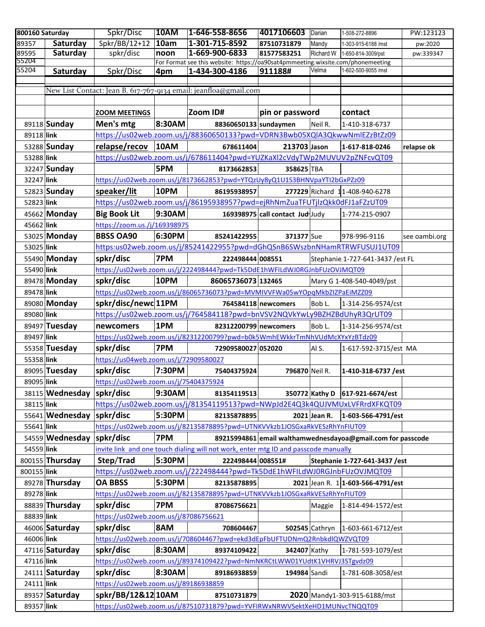| 800160 Saturday |                           | Spkr/Disc                             | <b>10AM</b> | $1-646-558-8656$                                                                    | 4017106603 Darian               |              | 1-508-272-8896                                              | PW:123123     |
|-----------------|---------------------------|---------------------------------------|-------------|-------------------------------------------------------------------------------------|---------------------------------|--------------|-------------------------------------------------------------|---------------|
| 89357           | Saturday                  | Spkr/BB/12+12                         | 10am        | 1-301-715-8592                                                                      | 87510731879                     | Mandy        | 1-303-915-6188 /mst                                         | pw:2020       |
| 89595           | Saturday                  | spkr/disc                             | noon        | 1-669-900-6833                                                                      | 81577583251                     | Richard W    | 1-650-814-3009/pst                                          | pw:339347     |
| 55204           |                           |                                       |             | For Format see this website: https://oa90sat4pmmeeting.wixsite.com/phonemeeting     |                                 |              |                                                             |               |
| 55204           | Saturday                  | Spkr/Disc                             | 4pm         | 1-434-300-4186                                                                      | 911188#                         | Velma        | 1-602-500-9055 /mst                                         |               |
|                 |                           |                                       |             |                                                                                     |                                 |              |                                                             |               |
|                 |                           |                                       |             | New List Contact: Jean B. 617-767-9134 email: jeanfloa@gmail.com                    |                                 |              |                                                             |               |
|                 |                           |                                       |             |                                                                                     |                                 |              |                                                             |               |
|                 |                           | <b>ZOOM MEETINGS</b>                  |             | Zoom ID#                                                                            | pin or password                 |              | contact                                                     |               |
|                 | 89118 Sunday              | Men's mtg                             | 8:30AM      | 88360650133 sundaymen                                                               |                                 | Neil R.      | 1-410-318-6737                                              |               |
| 89118 link      |                           |                                       |             | https://us02web.zoom.us/j/88360650133?pwd=VDRN3Bwb05XQlA3QkwwNmlEZzBtZz09           |                                 |              |                                                             |               |
|                 | 53288 Sunday              | relapse/recov                         | 10AM        | 678611404                                                                           | 213703 Jason                    |              | 1-617-818-0246                                              | relapse ok    |
| 53288 link      |                           |                                       |             | https://us02web.zoom.us/j/678611404?pwd=YUZKaXl2cVdyTWp2MUVUV2pZNFcvQT09            |                                 |              |                                                             |               |
|                 | 32247 Sunday              |                                       | 5PM         | 8173662853                                                                          | 358625 TBA                      |              |                                                             |               |
| 32247 link      |                           |                                       |             | https://us02web.zoom.us/j/8173662853?pwd=YTQzUy8yQ1U1S3BHNVpaYTI2bGxPZz09           |                                 |              |                                                             |               |
|                 | 52823 Sunday              | speaker/lit                           | 10PM        | 86195938957                                                                         |                                 |              | 277229 Richard 11-408-940-6278                              |               |
| 52823 link      |                           |                                       |             | https://us02web.zoom.us/j/86195938957?pwd=ejRhNmZuaTFUTjlzQkk0dFJ1aFZzUT09          |                                 |              |                                                             |               |
|                 | 45662 Monday              | <b>Big Book Lit</b>                   | 9:30AM      |                                                                                     | 169398975 call contact Jud Judy |              | 1-774-215-0907                                              |               |
| 45662 link      |                           | https://zoom.us./j/169398975          |             |                                                                                     |                                 |              |                                                             |               |
|                 | 53025 Monday              | <b>BBSS OA90</b>                      | 6:30PM      | 85241422955                                                                         | 371377 Sue                      |              | 978-996-9116                                                | see oambi.org |
| 53025 link      |                           |                                       |             | https:us02web.zoom.us/j/85241422955?pwd=dGhQSnB6SWszbnNHamRTRWFUSUJ1UT09            |                                 |              |                                                             |               |
|                 |                           |                                       | 7PM         |                                                                                     |                                 |              |                                                             |               |
|                 | 55490 Monday              | spkr/disc                             |             | 222498444 008551                                                                    |                                 |              | Stephanie 1-727-641-3437 /est FL                            |               |
| 55490 link      |                           |                                       |             | https://us02web.zoom.us/j/222498444?pwd=Tk5DdE1hWFILdWJ0RGJnbFUzOVJMQT09            |                                 |              |                                                             |               |
|                 | 89478 Monday              | spkr/disc                             | 10PM        | 86065736073 132465                                                                  |                                 |              | Mary G 1-408-540-4049/pst                                   |               |
| 89478 link      |                           |                                       |             | https://us02web.zoom.us/j/86065736073?pwd=MVMIVVFWa05wYOpqMkbZIZPaEiMZZ09           |                                 |              |                                                             |               |
|                 | 89080 Monday              | spkr/disc/newc 11PM                   |             |                                                                                     | 764584118 newcomers             | Bob L.       | 1-314-256-9574/cst                                          |               |
| 89080 link      |                           |                                       |             | https://us02web.zoom.us/j/764584118?pwd=bnVSV2NQVkYwLy9BZHZBdUhyR3QrUT09            |                                 |              |                                                             |               |
|                 | 89497 Tuesday             | newcomers                             | 1PM         | 82312200799 newcomers                                                               |                                 | Bob L.       | 1-314-256-9574/cst                                          |               |
| 89497 link      |                           |                                       |             | https://us02web.zoom.us/j/82312200799?pwd=b0k5WmhEWkkrTmNhVUdMcXYxYzBTdz09          |                                 |              |                                                             |               |
|                 | 55358 Tuesday             | spkr/disc                             | 7PM         | 72909580027 052020                                                                  |                                 | Al S.        | 1-617-592-3715/est MA                                       |               |
| 55358 link      |                           | https://us04web.zoom.us/j/72909580027 |             |                                                                                     |                                 |              |                                                             |               |
|                 | 89095 Tuesday             | spkr/disc                             | 7:30PM      | 75404375924                                                                         | 796870 Neil R.                  |              | 1-410-318-6737 /est                                         |               |
| 89095 link      |                           | https://us02web.zoom.us/j/75404375924 |             |                                                                                     |                                 |              |                                                             |               |
|                 | 38115 Wednesday spkr/disc |                                       | 9:30AM      | 81354119513                                                                         |                                 |              | 350772 Kathy D 617-921-6674/est                             |               |
| 38115 link      |                           |                                       |             | https://us02web.zoom.us/j/81354119513?pwd=NWpJd2E4Q3k4QUJVMUxLVFRrdXFKQT09          |                                 |              |                                                             |               |
|                 | 55641 Wednesday spkr/disc |                                       | 5:30PM      | 82135878895                                                                         |                                 | 2021 Jean R. | 1-603-566-4791/est                                          |               |
| 55641 link      |                           |                                       |             | https://us02web.zoom.us/j/82135878895?pwd=UTNKVVkzb1JOSGxaRkVESzRhYnFIUT09          |                                 |              |                                                             |               |
|                 | 54559 Wednesday spkr/disc |                                       | 7PM         |                                                                                     |                                 |              | 89215994861 email walthamwednesdayoa@gmail.com for passcode |               |
| 54559 link      |                           |                                       |             | invite link and one touch dialing will not work, enter mtg ID and passcode manually |                                 |              |                                                             |               |
|                 |                           |                                       |             |                                                                                     |                                 |              |                                                             |               |
|                 | 800155 Thursday           | Step/Trad                             | 5:30PM      | 222498444 008551#                                                                   |                                 |              | Stephanie 1-727-641-3437 / est                              |               |
| 800155 link     |                           |                                       |             | https://us02web.zoom.us/j/222498444?pwd=Tk5DdE1hWFILdWJ0RGJnbFUzOVJMQT09            |                                 |              |                                                             |               |
|                 | 89278 Thursday            | <b>OA BBSS</b>                        | 5:30PM      | 82135878895                                                                         |                                 |              | 2021 Jean R. 1 1-603-566-4791/est                           |               |
| 89278 link      |                           |                                       |             | https://us02web.zoom.us/j/82135878895?pwd=UTNKVVkzb1JOSGxaRkVESzRhYnFIUT09          |                                 |              |                                                             |               |
|                 | 88839 Thursday            | spkr/disc                             | 7PM         | 87086756621                                                                         |                                 | Maggie       | 1-814-494-1572/est                                          |               |
| 88839 link      |                           | https://us02web.zoom.us/j/87086756621 |             |                                                                                     |                                 |              |                                                             |               |
|                 | 46006 Saturday            | spkr/disc                             | 8AM         | 708604467                                                                           |                                 |              | 502545 Cathryn   1-603-661-6712/est                         |               |
| 46006 link      |                           |                                       |             | https://us02web.zoom.us/j/708604467?pwd=ekd3dEpFbUFTUDNmQ2RnbkdlQWZVQT09            |                                 |              |                                                             |               |
|                 | 47116 Saturday            | spkr/disc                             | 8:30AM      | 89374109422                                                                         | 342407 Kathy                    |              | 1-781-593-1079/est                                          |               |
| 47116 link      |                           |                                       |             | https://us02web.zoom.us/j/89374109422?pwd=NmNKRCtLWW01YUdtK1VHRVJ3STgvdz09          |                                 |              |                                                             |               |
|                 | $24111$ Saturday          | spkr/disc                             | 8:30AM      | 89186938859                                                                         | 194984 Sandi                    |              | 1-781-608-3058/est                                          |               |
| 24111 link      |                           | https://us02web.zoom.us/j/89186938859 |             |                                                                                     |                                 |              |                                                             |               |
|                 | 89357 Saturday            | spkr/BB/12&12 10AM                    |             | 87510731879                                                                         |                                 |              | 2020 Mandy1-303-915-6188/mst                                |               |
| 89357 link      |                           |                                       |             | https://us02web.zoom.us/j/87510731879?pwd=YVFIRWxNRWVSektXeHD1MUNvcTNQQT09          |                                 |              |                                                             |               |
|                 |                           |                                       |             |                                                                                     |                                 |              |                                                             |               |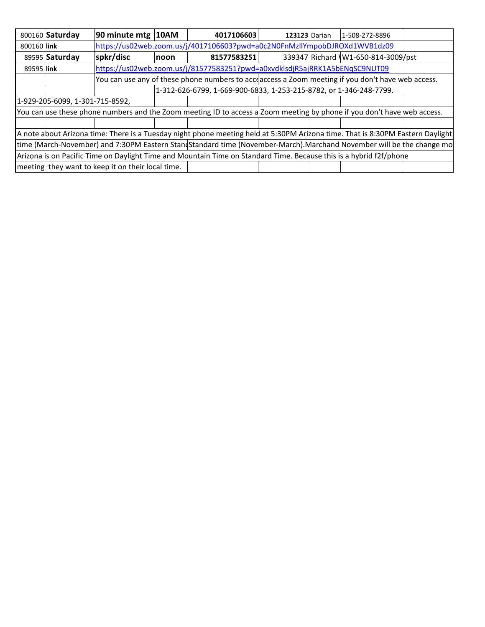|                                                                                                                         | 800160 Saturday                 | 90 minute mtg   10AM                                                                              |             | 4017106603                                                                                                                     | <b>123123 Darian</b> |  | 1-508-272-8896                     |  |
|-------------------------------------------------------------------------------------------------------------------------|---------------------------------|---------------------------------------------------------------------------------------------------|-------------|--------------------------------------------------------------------------------------------------------------------------------|----------------------|--|------------------------------------|--|
| 800160 link                                                                                                             |                                 | https://us02web.zoom.us/j/4017106603?pwd=a0c2N0FnMzllYmpobDJROXd1WVB1dz09                         |             |                                                                                                                                |                      |  |                                    |  |
|                                                                                                                         | 89595 Saturday                  | spkr/discl                                                                                        | <b>noon</b> | 81577583251                                                                                                                    |                      |  | 339347 Richard W1-650-814-3009/pst |  |
| 89595 link                                                                                                              |                                 |                                                                                                   |             | https://us02web.zoom.us/j/81577583251?pwd=a0xvdklsdjR5ajRRK1A5bENqSC9NUT09                                                     |                      |  |                                    |  |
|                                                                                                                         |                                 | You can use any of these phone numbers to acceaccess a Zoom meeting if you don't have web access. |             |                                                                                                                                |                      |  |                                    |  |
|                                                                                                                         |                                 |                                                                                                   |             | 1-312-626-6799, 1-669-900-6833, 1-253-215-8782, or 1-346-248-7799.                                                             |                      |  |                                    |  |
|                                                                                                                         | 1-929-205-6099, 1-301-715-8592, |                                                                                                   |             |                                                                                                                                |                      |  |                                    |  |
| You can use these phone numbers and the Zoom meeting ID to access a Zoom meeting by phone if you don't have web access. |                                 |                                                                                                   |             |                                                                                                                                |                      |  |                                    |  |
|                                                                                                                         |                                 |                                                                                                   |             |                                                                                                                                |                      |  |                                    |  |
|                                                                                                                         |                                 |                                                                                                   |             | A note about Arizona time: There is a Tuesday night phone meeting held at 5:30PM Arizona time. That is 8:30PM Eastern Daylight |                      |  |                                    |  |
|                                                                                                                         |                                 |                                                                                                   |             | time (March-November) and 7:30PM Eastern Standstandard time (November-March).Marchand November will be the change mo           |                      |  |                                    |  |
|                                                                                                                         |                                 |                                                                                                   |             | Arizona is on Pacific Time on Daylight Time and Mountain Time on Standard Time. Because this is a hybrid f2f/phone             |                      |  |                                    |  |
|                                                                                                                         |                                 | meeting they want to keep it on their local time.                                                 |             |                                                                                                                                |                      |  |                                    |  |